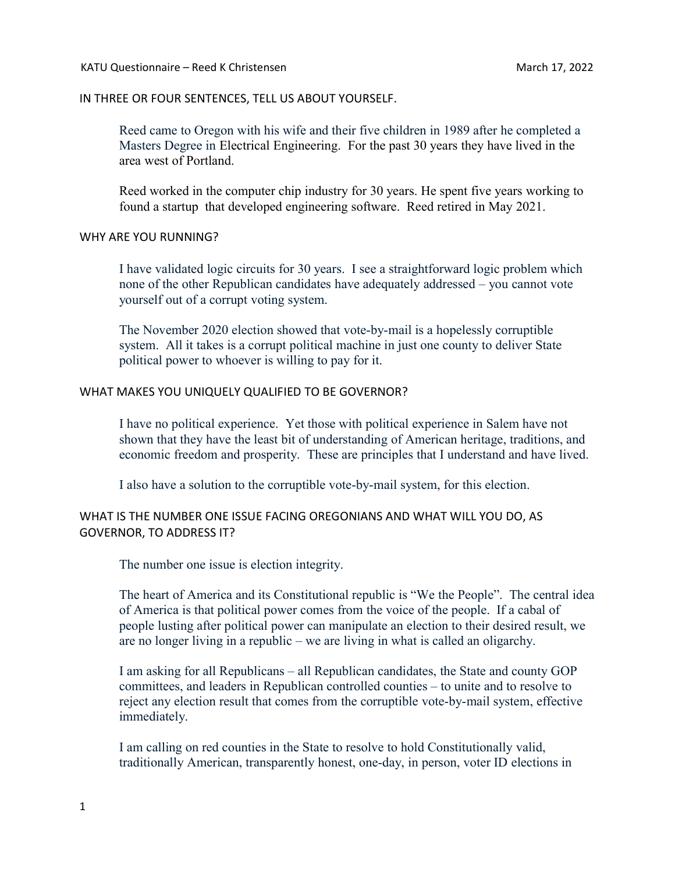### IN THREE OR FOUR SENTENCES, TELL US ABOUT YOURSELF.

Reed came to Oregon with his wife and their five children in 1989 after he completed a Masters Degree in Electrical Engineering. For the past 30 years they have lived in the area west of Portland.

Reed worked in the computer chip industry for 30 years. He spent five years working to found a startup that developed engineering software. Reed retired in May 2021.

#### WHY ARE YOU RUNNING?

I have validated logic circuits for 30 years. I see a straightforward logic problem which none of the other Republican candidates have adequately addressed – you cannot vote yourself out of a corrupt voting system.

The November 2020 election showed that vote-by-mail is a hopelessly corruptible system. All it takes is a corrupt political machine in just one county to deliver State political power to whoever is willing to pay for it.

#### WHAT MAKES YOU UNIQUELY QUALIFIED TO BE GOVERNOR?

I have no political experience. Yet those with political experience in Salem have not shown that they have the least bit of understanding of American heritage, traditions, and economic freedom and prosperity. These are principles that I understand and have lived.

I also have a solution to the corruptible vote-by-mail system, for this election.

## WHAT IS THE NUMBER ONE ISSUE FACING OREGONIANS AND WHAT WILL YOU DO, AS GOVERNOR, TO ADDRESS IT?

The number one issue is election integrity.

The heart of America and its Constitutional republic is "We the People". The central idea of America is that political power comes from the voice of the people. If a cabal of people lusting after political power can manipulate an election to their desired result, we are no longer living in a republic – we are living in what is called an oligarchy.

I am asking for all Republicans – all Republican candidates, the State and county GOP committees, and leaders in Republican controlled counties – to unite and to resolve to reject any election result that comes from the corruptible vote-by-mail system, effective immediately.

I am calling on red counties in the State to resolve to hold Constitutionally valid, traditionally American, transparently honest, one-day, in person, voter ID elections in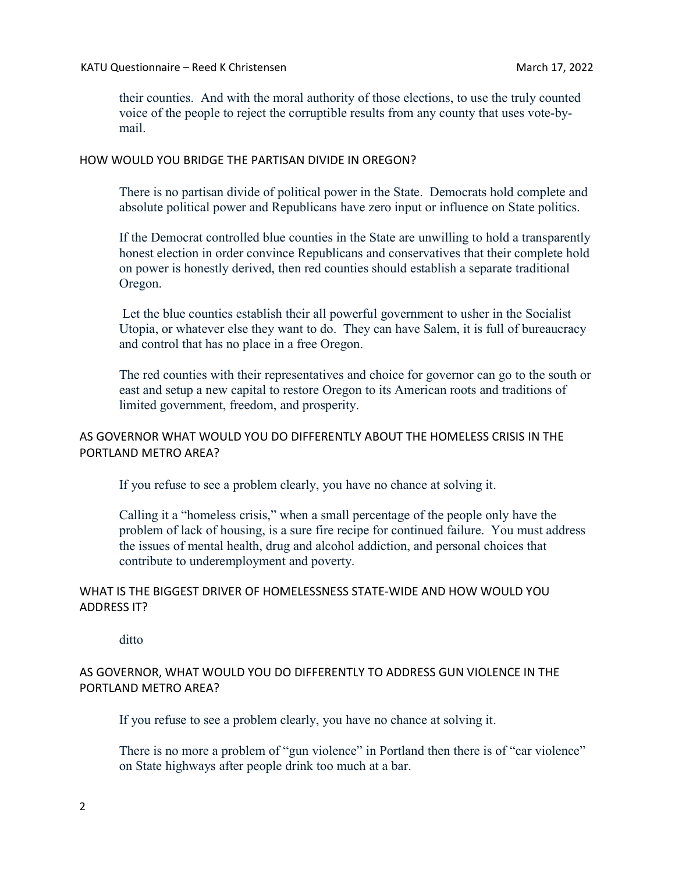their counties. And with the moral authority of those elections, to use the truly counted voice of the people to reject the corruptible results from any county that uses vote-bymail.

## HOW WOULD YOU BRIDGE THE PARTISAN DIVIDE IN OREGON?

There is no partisan divide of political power in the State. Democrats hold complete and absolute political power and Republicans have zero input or influence on State politics.

If the Democrat controlled blue counties in the State are unwilling to hold a transparently honest election in order convince Republicans and conservatives that their complete hold on power is honestly derived, then red counties should establish a separate traditional Oregon.

 Let the blue counties establish their all powerful government to usher in the Socialist Utopia, or whatever else they want to do. They can have Salem, it is full of bureaucracy and control that has no place in a free Oregon.

The red counties with their representatives and choice for governor can go to the south or east and setup a new capital to restore Oregon to its American roots and traditions of limited government, freedom, and prosperity.

## AS GOVERNOR WHAT WOULD YOU DO DIFFERENTLY ABOUT THE HOMELESS CRISIS IN THE PORTLAND METRO AREA?

If you refuse to see a problem clearly, you have no chance at solving it.

Calling it a "homeless crisis," when a small percentage of the people only have the problem of lack of housing, is a sure fire recipe for continued failure. You must address the issues of mental health, drug and alcohol addiction, and personal choices that contribute to underemployment and poverty.

# WHAT IS THE BIGGEST DRIVER OF HOMELESSNESS STATE-WIDE AND HOW WOULD YOU ADDRESS IT?

ditto

# AS GOVERNOR, WHAT WOULD YOU DO DIFFERENTLY TO ADDRESS GUN VIOLENCE IN THE PORTLAND METRO AREA?

If you refuse to see a problem clearly, you have no chance at solving it.

There is no more a problem of "gun violence" in Portland then there is of "car violence" on State highways after people drink too much at a bar.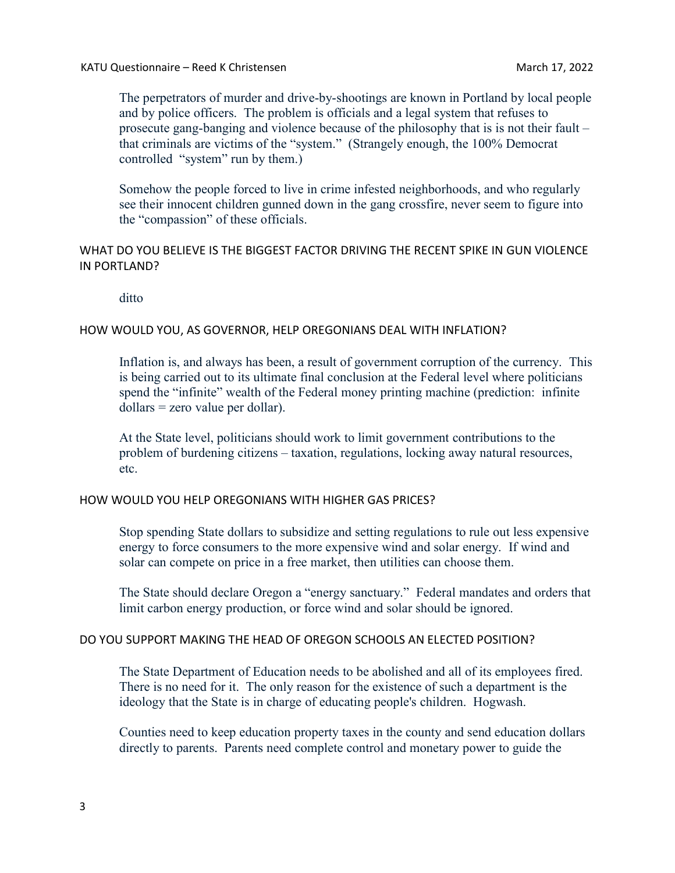The perpetrators of murder and drive-by-shootings are known in Portland by local people and by police officers. The problem is officials and a legal system that refuses to prosecute gang-banging and violence because of the philosophy that is is not their fault – that criminals are victims of the "system." (Strangely enough, the 100% Democrat controlled "system" run by them.)

Somehow the people forced to live in crime infested neighborhoods, and who regularly see their innocent children gunned down in the gang crossfire, never seem to figure into the "compassion" of these officials.

## WHAT DO YOU BELIEVE IS THE BIGGEST FACTOR DRIVING THE RECENT SPIKE IN GUN VIOLENCE IN PORTLAND?

ditto

## HOW WOULD YOU, AS GOVERNOR, HELP OREGONIANS DEAL WITH INFLATION?

Inflation is, and always has been, a result of government corruption of the currency. This is being carried out to its ultimate final conclusion at the Federal level where politicians spend the "infinite" wealth of the Federal money printing machine (prediction: infinite dollars = zero value per dollar).

At the State level, politicians should work to limit government contributions to the problem of burdening citizens – taxation, regulations, locking away natural resources, etc.

### HOW WOULD YOU HELP OREGONIANS WITH HIGHER GAS PRICES?

Stop spending State dollars to subsidize and setting regulations to rule out less expensive energy to force consumers to the more expensive wind and solar energy. If wind and solar can compete on price in a free market, then utilities can choose them.

The State should declare Oregon a "energy sanctuary." Federal mandates and orders that limit carbon energy production, or force wind and solar should be ignored.

### DO YOU SUPPORT MAKING THE HEAD OF OREGON SCHOOLS AN ELECTED POSITION?

The State Department of Education needs to be abolished and all of its employees fired. There is no need for it. The only reason for the existence of such a department is the ideology that the State is in charge of educating people's children. Hogwash.

Counties need to keep education property taxes in the county and send education dollars directly to parents. Parents need complete control and monetary power to guide the